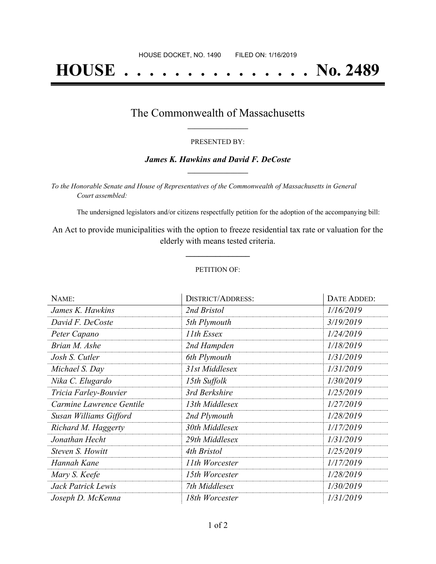# **HOUSE . . . . . . . . . . . . . . . No. 2489**

### The Commonwealth of Massachusetts **\_\_\_\_\_\_\_\_\_\_\_\_\_\_\_\_\_**

#### PRESENTED BY:

#### *James K. Hawkins and David F. DeCoste* **\_\_\_\_\_\_\_\_\_\_\_\_\_\_\_\_\_**

*To the Honorable Senate and House of Representatives of the Commonwealth of Massachusetts in General Court assembled:*

The undersigned legislators and/or citizens respectfully petition for the adoption of the accompanying bill:

An Act to provide municipalities with the option to freeze residential tax rate or valuation for the elderly with means tested criteria.

**\_\_\_\_\_\_\_\_\_\_\_\_\_\_\_**

#### PETITION OF:

| NAME:                    | <b>DISTRICT/ADDRESS:</b> | DATE ADDED: |
|--------------------------|--------------------------|-------------|
| James K. Hawkins         | 2nd Bristol              | 1/16/2019   |
| David F. DeCoste         | 5th Plymouth             | 3/19/2019   |
| Peter Capano             | 11th Essex               | 1/24/2019   |
| Brian M. Ashe            | 2nd Hampden              | 1/18/2019   |
| Josh S. Cutler           | 6th Plymouth             | 1/31/2019   |
| Michael S. Day           | 31st Middlesex           | 1/31/2019   |
| Nika C. Elugardo         | 15th Suffolk             | 1/30/2019   |
| Tricia Farley-Bouvier    | 3rd Berkshire            | 1/25/2019   |
| Carmine Lawrence Gentile | 13th Middlesex           | 1/27/2019   |
| Susan Williams Gifford   | 2nd Plymouth             | 1/28/2019   |
| Richard M. Haggerty      | 30th Middlesex           | 1/17/2019   |
| Jonathan Hecht           | 29th Middlesex           | 1/31/2019   |
| Steven S. Howitt         | 4th Bristol              | 1/25/2019   |
| Hannah Kane              | 11th Worcester           | 1/17/2019   |
| Mary S. Keefe            | 15th Worcester           | 1/28/2019   |
| Jack Patrick Lewis       | 7th Middlesex            | 1/30/2019   |
| Joseph D. McKenna        | 18th Worcester           | 1/31/2019   |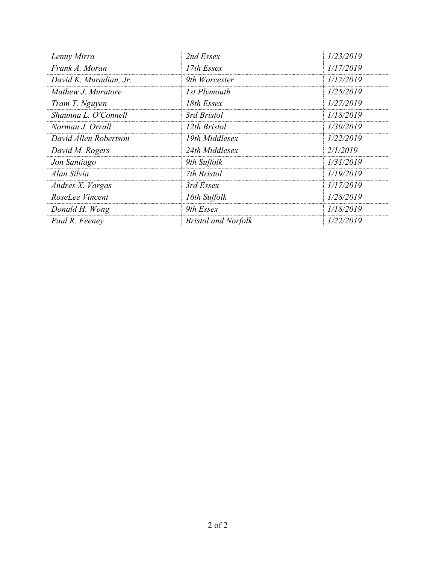| Lenny Mirra            | 2nd Essex                  | 1/23/2019 |
|------------------------|----------------------------|-----------|
| Frank A. Moran         | 17th Essex                 | 1/17/2019 |
| David K. Muradian, Jr. | 9th Worcester              | 1/17/2019 |
| Mathew J. Muratore     | 1st Plymouth               | 1/25/2019 |
| Tram T. Nguyen         | 18th Essex                 | 1/27/2019 |
| Shaunna L. O'Connell   | 3rd Bristol                | 1/18/2019 |
| Norman J. Orrall       | 12th Bristol               | 1/30/2019 |
| David Allen Robertson  | 19th Middlesex             | 1/22/2019 |
| David M. Rogers        | 24th Middlesex             | 2/1/2019  |
| Jon Santiago           | 9th Suffolk                | 1/31/2019 |
| Alan Silvia            | 7th Bristol                | 1/19/2019 |
| Andres X. Vargas       | 3rd Essex                  | 1/17/2019 |
| RoseLee Vincent        | 16th Suffolk               | 1/28/2019 |
| Donald H. Wong         | 9th Essex                  | 1/18/2019 |
| Paul R. Feeney         | <b>Bristol and Norfolk</b> | 1/22/2019 |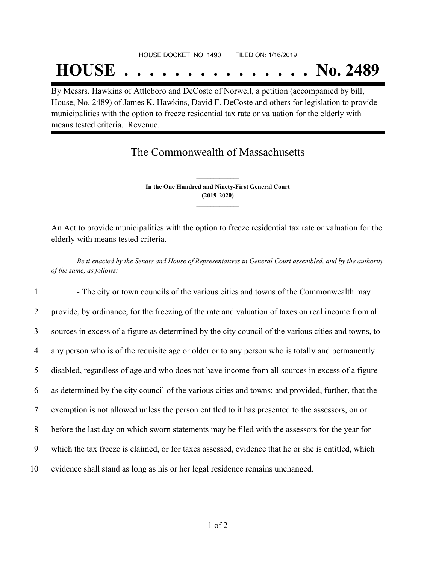## HOUSE DOCKET, NO. 1490 FILED ON: 1/16/2019 **HOUSE . . . . . . . . . . . . . . . No. 2489**

By Messrs. Hawkins of Attleboro and DeCoste of Norwell, a petition (accompanied by bill, House, No. 2489) of James K. Hawkins, David F. DeCoste and others for legislation to provide municipalities with the option to freeze residential tax rate or valuation for the elderly with means tested criteria. Revenue.

## The Commonwealth of Massachusetts

**In the One Hundred and Ninety-First General Court (2019-2020) \_\_\_\_\_\_\_\_\_\_\_\_\_\_\_**

**\_\_\_\_\_\_\_\_\_\_\_\_\_\_\_**

An Act to provide municipalities with the option to freeze residential tax rate or valuation for the elderly with means tested criteria.

Be it enacted by the Senate and House of Representatives in General Court assembled, and by the authority *of the same, as follows:*

1 - The city or town councils of the various cities and towns of the Commonwealth may provide, by ordinance, for the freezing of the rate and valuation of taxes on real income from all sources in excess of a figure as determined by the city council of the various cities and towns, to any person who is of the requisite age or older or to any person who is totally and permanently disabled, regardless of age and who does not have income from all sources in excess of a figure as determined by the city council of the various cities and towns; and provided, further, that the exemption is not allowed unless the person entitled to it has presented to the assessors, on or before the last day on which sworn statements may be filed with the assessors for the year for which the tax freeze is claimed, or for taxes assessed, evidence that he or she is entitled, which evidence shall stand as long as his or her legal residence remains unchanged.